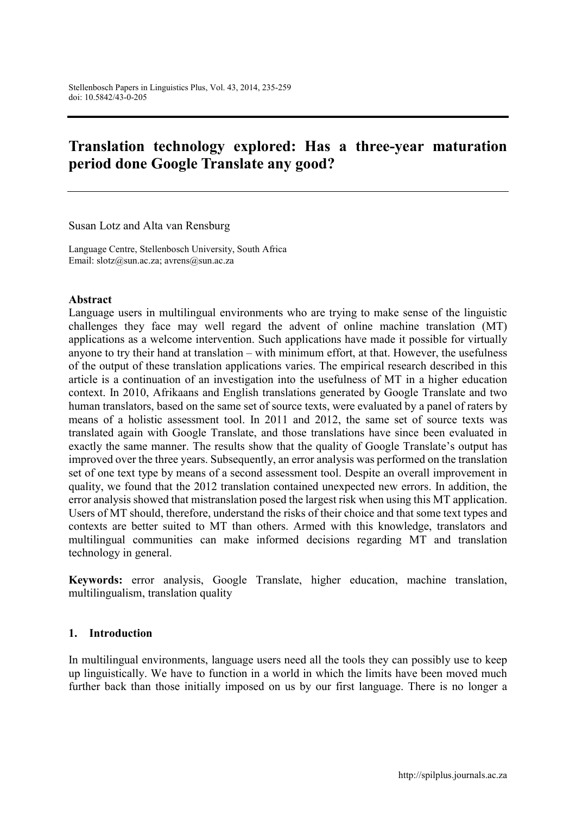# Translation technology explored: Has a three-year maturation period done Google Translate any good?

Susan Lotz and Alta van Rensburg

Language Centre, Stellenbosch University, South Africa Email: [slotz@sun.ac.za](mailto:slotz@sun.ac.za); [avrens@sun.ac.za](mailto:avrens@sun.ac.za)

#### Abstract

Language users in multilingual environments who are trying to make sense of the linguistic challenges they face may well regard the advent of online machine translation (MT) applications as a welcome intervention. Such applications have made it possible for virtually anyone to try their hand at translation – with minimum effort, at that. However, the usefulness of the output of these translation applications varies. The empirical research described in this article is a continuation of an investigation into the usefulness of MT in a higher education context. In 2010, Afrikaans and English translations generated by Google Translate and two human translators, based on the same set of source texts, were evaluated by a panel of raters by means of a holistic assessment tool. In 2011 and 2012, the same set of source texts was translated again with Google Translate, and those translations have since been evaluated in exactly the same manner. The results show that the quality of Google Translate's output has improved over the three years. Subsequently, an error analysis was performed on the translation set of one text type by means of a second assessment tool. Despite an overall improvement in quality, we found that the 2012 translation contained unexpected new errors. In addition, the error analysis showed that mistranslation posed the largest risk when using this MT application. Users of MT should, therefore, understand the risks of their choice and that some text types and contexts are better suited to MT than others. Armed with this knowledge, translators and multilingual communities can make informed decisions regarding MT and translation technology in general.

Keywords: error analysis, Google Translate, higher education, machine translation, multilingualism, translation quality

#### 1. Introduction

In multilingual environments, language users need all the tools they can possibly use to keep up linguistically. We have to function in a world in which the limits have been moved much further back than those initially imposed on us by our first language. There is no longer a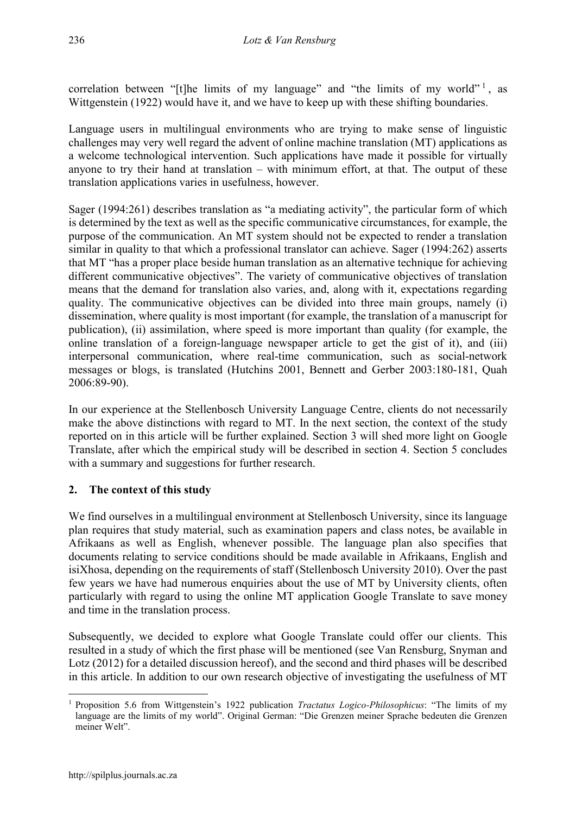correlation between "[t]he limits of my language" and "the limits of my world"  $\frac{1}{1}$ , as Wittgenstein (1922) would have it, and we have to keep up with these shifting boundaries.

Language users in multilingual environments who are trying to make sense of linguistic challenges may very well regard the advent of online machine translation (MT) applications as a welcome technological intervention. Such applications have made it possible for virtually anyone to try their hand at translation – with minimum effort, at that. The output of these translation applications varies in usefulness, however.

Sager (1994:261) describes translation as "a mediating activity", the particular form of which is determined by the text as well as the specific communicative circumstances, for example, the purpose of the communication. An MT system should not be expected to render a translation similar in quality to that which a professional translator can achieve. Sager (1994:262) asserts that MT "has a proper place beside human translation as an alternative technique for achieving different communicative objectives". The variety of communicative objectives of translation means that the demand for translation also varies, and, along with it, expectations regarding quality. The communicative objectives can be divided into three main groups, namely (i) dissemination, where quality is most important (for example, the translation of a manuscript for publication), (ii) assimilation, where speed is more important than quality (for example, the online translation of a foreign-language newspaper article to get the gist of it), and (iii) interpersonal communication, where real-time communication, such as social-network messages or blogs, is translated (Hutchins 2001, Bennett and Gerber 2003:180-181, Quah 2006:89-90).

In our experience at the Stellenbosch University Language Centre, clients do not necessarily make the above distinctions with regard to MT. In the next section, the context of the study reported on in this article will be further explained. Section 3 will shed more light on Google Translate, after which the empirical study will be described in section 4. Section 5 concludes with a summary and suggestions for further research.

# 2. The context of this study

We find ourselves in a multilingual environment at Stellenbosch University, since its language plan requires that study material, such as examination papers and class notes, be available in Afrikaans as well as English, whenever possible. The language plan also specifies that documents relating to service conditions should be made available in Afrikaans, English and isiXhosa, depending on the requirements of staff (Stellenbosch University 2010). Over the past few years we have had numerous enquiries about the use of MT by University clients, often particularly with regard to using the online MT application Google Translate to save money and time in the translation process.

Subsequently, we decided to explore what Google Translate could offer our clients. This resulted in a study of which the first phase will be mentioned (see Van Rensburg, Snyman and Lotz (2012) for a detailed discussion hereof), and the second and third phases will be described in this article. In addition to our own research objective of investigating the usefulness of MT

<sup>1</sup> <sup>1</sup> Proposition 5.6 from Wittgenstein's 1922 publication *Tractatus Logico-Philosophicus*: "The limits of my language are the limits of my world". Original German: "Die Grenzen meiner Sprache bedeuten die Grenzen meiner Welt".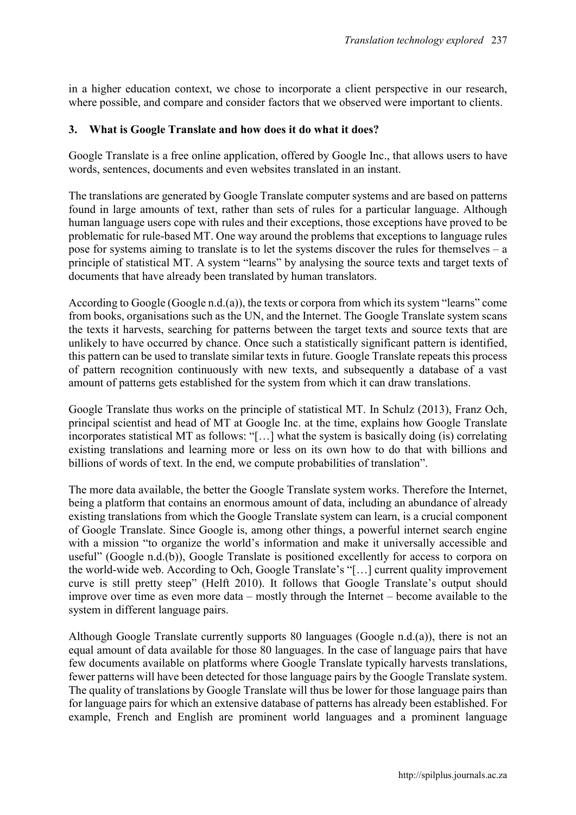in a higher education context, we chose to incorporate a client perspective in our research, where possible, and compare and consider factors that we observed were important to clients.

### 3. What is Google Translate and how does it do what it does?

Google Translate is a free online application, offered by Google Inc., that allows users to have words, sentences, documents and even websites translated in an instant.

The translations are generated by Google Translate computer systems and are based on patterns found in large amounts of text, rather than sets of rules for a particular language. Although human language users cope with rules and their exceptions, those exceptions have proved to be problematic for rule-based MT. One way around the problems that exceptions to language rules pose for systems aiming to translate is to let the systems discover the rules for themselves – a principle of statistical MT. A system "learns" by analysing the source texts and target texts of documents that have already been translated by human translators.

According to Google (Google n.d.(a)), the texts or corpora from which its system "learns" come from books, organisations such as the UN, and the Internet. The Google Translate system scans the texts it harvests, searching for patterns between the target texts and source texts that are unlikely to have occurred by chance. Once such a statistically significant pattern is identified, this pattern can be used to translate similar texts in future. Google Translate repeats this process of pattern recognition continuously with new texts, and subsequently a database of a vast amount of patterns gets established for the system from which it can draw translations.

Google Translate thus works on the principle of statistical MT. In Schulz (2013), Franz Och, principal scientist and head of MT at Google Inc. at the time, explains how Google Translate incorporates statistical MT as follows: "[…] what the system is basically doing (is) correlating existing translations and learning more or less on its own how to do that with billions and billions of words of text. In the end, we compute probabilities of translation".

The more data available, the better the Google Translate system works. Therefore the Internet, being a platform that contains an enormous amount of data, including an abundance of already existing translations from which the Google Translate system can learn, is a crucial component of Google Translate. Since Google is, among other things, a powerful internet search engine with a mission "to organize the world's information and make it universally accessible and useful" (Google n.d.(b)), Google Translate is positioned excellently for access to corpora on the world-wide web. According to Och, Google Translate's "[…] current quality improvement curve is still pretty steep" (Helft 2010). It follows that Google Translate's output should improve over time as even more data – mostly through the Internet – become available to the system in different language pairs.

Although Google Translate currently supports 80 languages (Google n.d.(a)), there is not an equal amount of data available for those 80 languages. In the case of language pairs that have few documents available on platforms where Google Translate typically harvests translations, fewer patterns will have been detected for those language pairs by the Google Translate system. The quality of translations by Google Translate will thus be lower for those language pairs than for language pairs for which an extensive database of patterns has already been established. For example, French and English are prominent world languages and a prominent language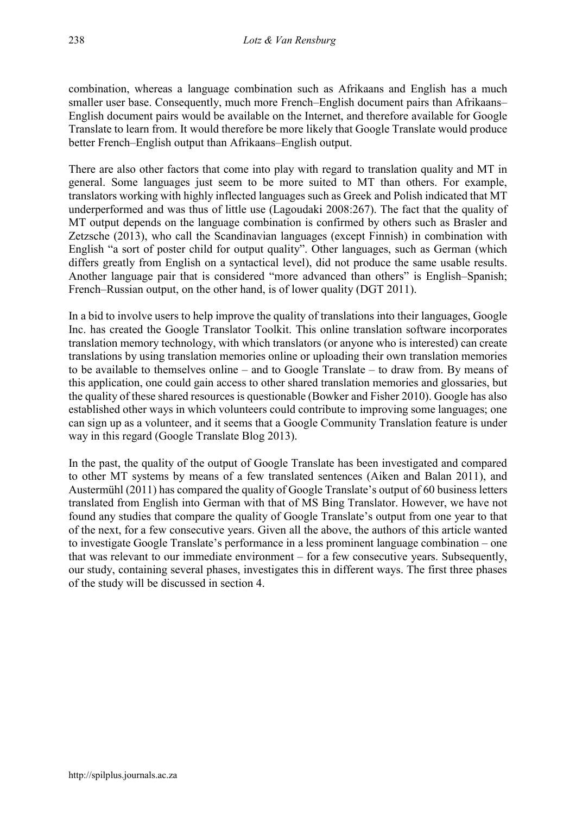combination, whereas a language combination such as Afrikaans and English has a much smaller user base. Consequently, much more French–English document pairs than Afrikaans– English document pairs would be available on the Internet, and therefore available for Google Translate to learn from. It would therefore be more likely that Google Translate would produce better French–English output than Afrikaans–English output.

There are also other factors that come into play with regard to translation quality and MT in general. Some languages just seem to be more suited to MT than others. For example, translators working with highly inflected languages such as Greek and Polish indicated that MT underperformed and was thus of little use (Lagoudaki 2008:267). The fact that the quality of MT output depends on the language combination is confirmed by others such as Brasler and Zetzsche (2013), who call the Scandinavian languages (except Finnish) in combination with English "a sort of poster child for output quality". Other languages, such as German (which differs greatly from English on a syntactical level), did not produce the same usable results. Another language pair that is considered "more advanced than others" is English–Spanish; French–Russian output, on the other hand, is of lower quality (DGT 2011).

In a bid to involve users to help improve the quality of translations into their languages, Google Inc. has created the Google Translator Toolkit. This online translation software incorporates translation memory technology, with which translators (or anyone who is interested) can create translations by using translation memories online or uploading their own translation memories to be available to themselves online – and to Google Translate – to draw from. By means of this application, one could gain access to other shared translation memories and glossaries, but the quality of these shared resources is questionable (Bowker and Fisher 2010). Google has also established other ways in which volunteers could contribute to improving some languages; one can sign up as a volunteer, and it seems that a Google Community Translation feature is under way in this regard (Google Translate Blog 2013).

In the past, the quality of the output of Google Translate has been investigated and compared to other MT systems by means of a few translated sentences (Aiken and Balan 2011), and Austermühl (2011) has compared the quality of Google Translate's output of 60 business letters translated from English into German with that of MS Bing Translator. However, we have not found any studies that compare the quality of Google Translate's output from one year to that of the next, for a few consecutive years. Given all the above, the authors of this article wanted to investigate Google Translate's performance in a less prominent language combination – one that was relevant to our immediate environment – for a few consecutive years. Subsequently, our study, containing several phases, investigates this in different ways. The first three phases of the study will be discussed in section 4.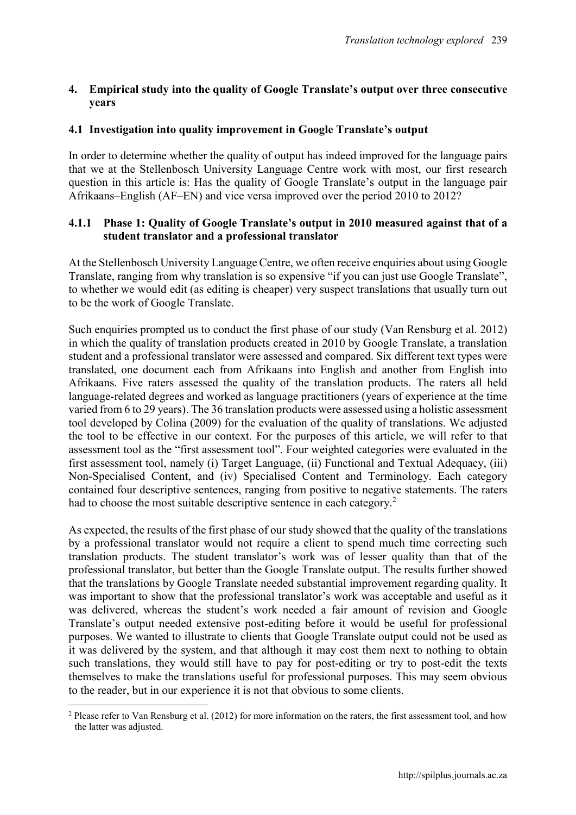# 4. Empirical study into the quality of Google Translate's output over three consecutive years

### 4.1 Investigation into quality improvement in Google Translate's output

In order to determine whether the quality of output has indeed improved for the language pairs that we at the Stellenbosch University Language Centre work with most, our first research question in this article is: Has the quality of Google Translate's output in the language pair Afrikaans–English (AF–EN) and vice versa improved over the period 2010 to 2012?

### 4.1.1 Phase 1: Quality of Google Translate's output in 2010 measured against that of a student translator and a professional translator

At the Stellenbosch University Language Centre, we often receive enquiries about using Google Translate, ranging from why translation is so expensive "if you can just use Google Translate", to whether we would edit (as editing is cheaper) very suspect translations that usually turn out to be the work of Google Translate.

Such enquiries prompted us to conduct the first phase of our study (Van Rensburg et al. 2012) in which the quality of translation products created in 2010 by Google Translate, a translation student and a professional translator were assessed and compared. Six different text types were translated, one document each from Afrikaans into English and another from English into Afrikaans. Five raters assessed the quality of the translation products. The raters all held language-related degrees and worked as language practitioners (years of experience at the time varied from 6 to 29 years). The 36 translation products were assessed using a holistic assessment tool developed by Colina (2009) for the evaluation of the quality of translations. We adjusted the tool to be effective in our context. For the purposes of this article, we will refer to that assessment tool as the "first assessment tool". Four weighted categories were evaluated in the first assessment tool, namely (i) Target Language, (ii) Functional and Textual Adequacy, (iii) Non-Specialised Content, and (iv) Specialised Content and Terminology. Each category contained four descriptive sentences, ranging from positive to negative statements. The raters had to choose the most suitable descriptive sentence in each category.<sup>2</sup>

As expected, the results of the first phase of our study showed that the quality of the translations by a professional translator would not require a client to spend much time correcting such translation products. The student translator's work was of lesser quality than that of the professional translator, but better than the Google Translate output. The results further showed that the translations by Google Translate needed substantial improvement regarding quality. It was important to show that the professional translator's work was acceptable and useful as it was delivered, whereas the student's work needed a fair amount of revision and Google Translate's output needed extensive post-editing before it would be useful for professional purposes. We wanted to illustrate to clients that Google Translate output could not be used as it was delivered by the system, and that although it may cost them next to nothing to obtain such translations, they would still have to pay for post-editing or try to post-edit the texts themselves to make the translations useful for professional purposes. This may seem obvious to the reader, but in our experience it is not that obvious to some clients.

1

<sup>&</sup>lt;sup>2</sup> Please refer to Van Rensburg et al. (2012) for more information on the raters, the first assessment tool, and how the latter was adjusted.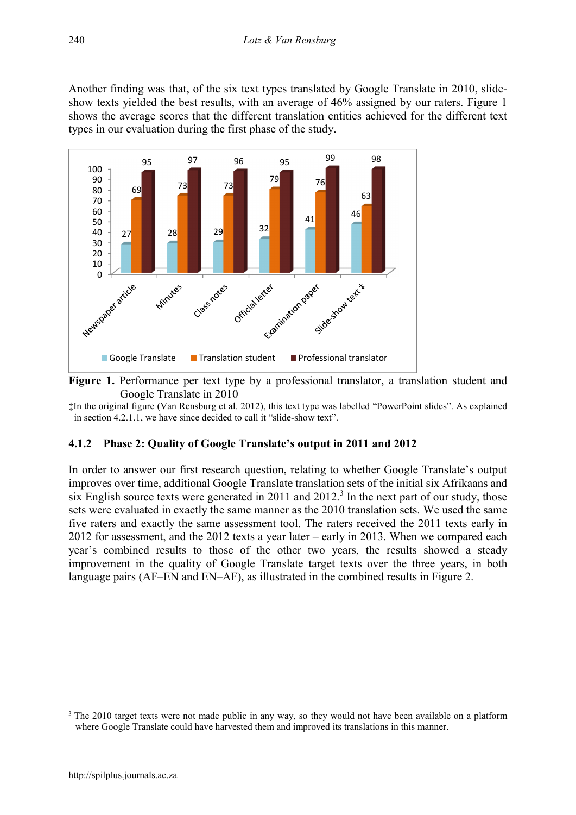Another finding was that, of the six text types translated by Google Translate in 2010, slideshow texts yielded the best results, with an average of 46% assigned by our raters. Figure 1 shows the average scores that the different translation entities achieved for the different text types in our evaluation during the first phase of the study.



Figure 1. Performance per text type by a professional translator, a translation student and Google Translate in 2010

‡In the original figure (Van Rensburg et al. 2012), this text type was labelled "PowerPoint slides". As explained in section 4.2.1.1, we have since decided to call it "slide-show text".

#### 4.1.2 Phase 2: Quality of Google Translate's output in 2011 and 2012

In order to answer our first research question, relating to whether Google Translate's output improves over time, additional Google Translate translation sets of the initial six Afrikaans and six English source texts were generated in 2011 and  $2012<sup>3</sup>$  In the next part of our study, those sets were evaluated in exactly the same manner as the 2010 translation sets. We used the same five raters and exactly the same assessment tool. The raters received the 2011 texts early in 2012 for assessment, and the 2012 texts a year later – early in 2013. When we compared each year's combined results to those of the other two years, the results showed a steady improvement in the quality of Google Translate target texts over the three years, in both language pairs (AF–EN and EN–AF), as illustrated in the combined results in Figure 2.

1

<sup>&</sup>lt;sup>3</sup> The 2010 target texts were not made public in any way, so they would not have been available on a platform where Google Translate could have harvested them and improved its translations in this manner.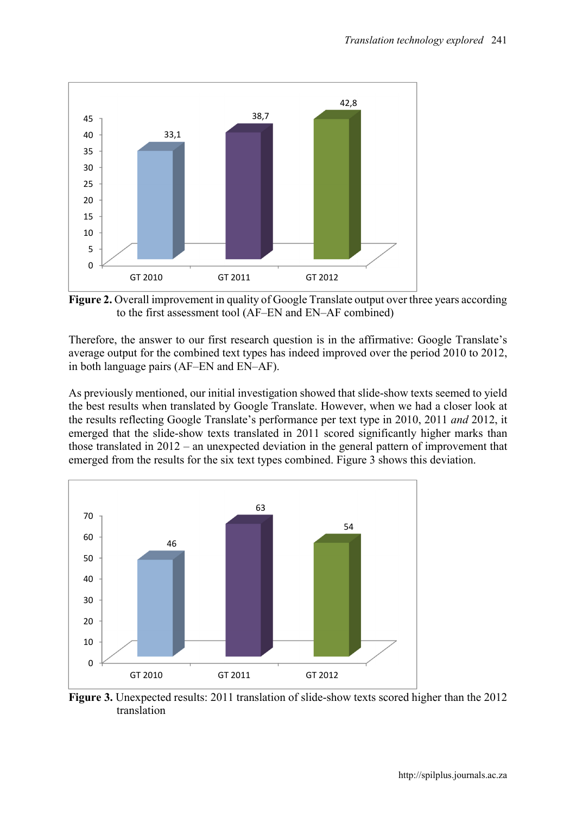

Figure 2. Overall improvement in quality of Google Translate output over three years according to the first assessment tool (AF–EN and EN–AF combined)

Therefore, the answer to our first research question is in the affirmative: Google Translate's average output for the combined text types has indeed improved over the period 2010 to 2012, in both language pairs (AF–EN and EN–AF).

As previously mentioned, our initial investigation showed that slide-show texts seemed to yield the best results when translated by Google Translate. However, when we had a closer look at the results reflecting Google Translate's performance per text type in 2010, 2011 *and* 2012, it emerged that the slide-show texts translated in 2011 scored significantly higher marks than those translated in 2012 – an unexpected deviation in the general pattern of improvement that emerged from the results for the six text types combined. Figure 3 shows this deviation.



Figure 3. Unexpected results: 2011 translation of slide-show texts scored higher than the 2012 translation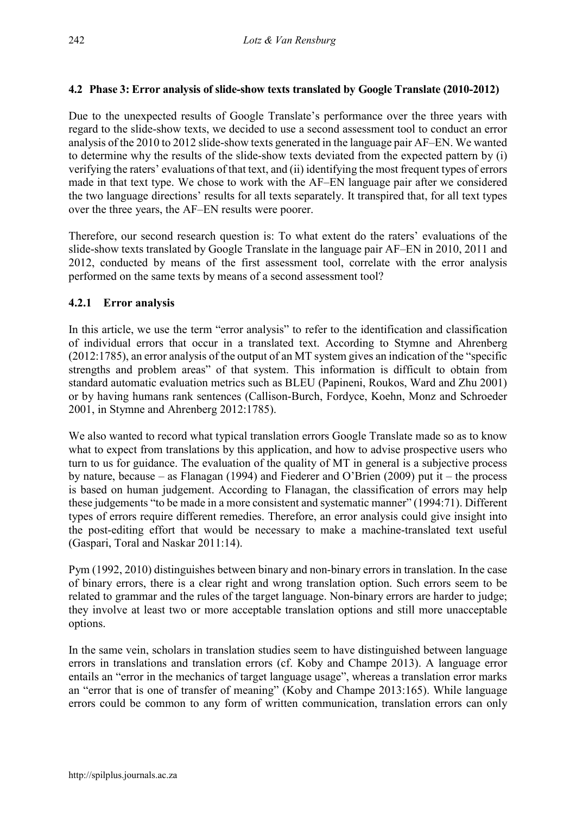# 4.2 Phase 3: Error analysis of slide-show texts translated by Google Translate (2010-2012)

Due to the unexpected results of Google Translate's performance over the three years with regard to the slide-show texts, we decided to use a second assessment tool to conduct an error analysis of the 2010 to 2012 slide-show texts generated in the language pair AF–EN. We wanted to determine why the results of the slide-show texts deviated from the expected pattern by (i) verifying the raters' evaluations of that text, and (ii) identifying the most frequent types of errors made in that text type. We chose to work with the AF–EN language pair after we considered the two language directions' results for all texts separately. It transpired that, for all text types over the three years, the AF–EN results were poorer.

Therefore, our second research question is: To what extent do the raters' evaluations of the slide-show texts translated by Google Translate in the language pair AF–EN in 2010, 2011 and 2012, conducted by means of the first assessment tool, correlate with the error analysis performed on the same texts by means of a second assessment tool?

# 4.2.1 Error analysis

In this article, we use the term "error analysis" to refer to the identification and classification of individual errors that occur in a translated text. According to Stymne and Ahrenberg (2012:1785), an error analysis of the output of an MT system gives an indication of the "specific strengths and problem areas" of that system. This information is difficult to obtain from standard automatic evaluation metrics such as BLEU (Papineni, Roukos, Ward and Zhu 2001) or by having humans rank sentences (Callison-Burch, Fordyce, Koehn, Monz and Schroeder 2001, in Stymne and Ahrenberg 2012:1785).

We also wanted to record what typical translation errors Google Translate made so as to know what to expect from translations by this application, and how to advise prospective users who turn to us for guidance. The evaluation of the quality of MT in general is a subjective process by nature, because – as Flanagan (1994) and Fiederer and O'Brien (2009) put it – the process is based on human judgement. According to Flanagan, the classification of errors may help these judgements "to be made in a more consistent and systematic manner" (1994:71). Different types of errors require different remedies. Therefore, an error analysis could give insight into the post-editing effort that would be necessary to make a machine-translated text useful (Gaspari, Toral and Naskar 2011:14).

Pym (1992, 2010) distinguishes between binary and non-binary errors in translation. In the case of binary errors, there is a clear right and wrong translation option. Such errors seem to be related to grammar and the rules of the target language. Non-binary errors are harder to judge; they involve at least two or more acceptable translation options and still more unacceptable options.

In the same vein, scholars in translation studies seem to have distinguished between language errors in translations and translation errors (cf. Koby and Champe 2013). A language error entails an "error in the mechanics of target language usage", whereas a translation error marks an "error that is one of transfer of meaning" (Koby and Champe 2013:165). While language errors could be common to any form of written communication, translation errors can only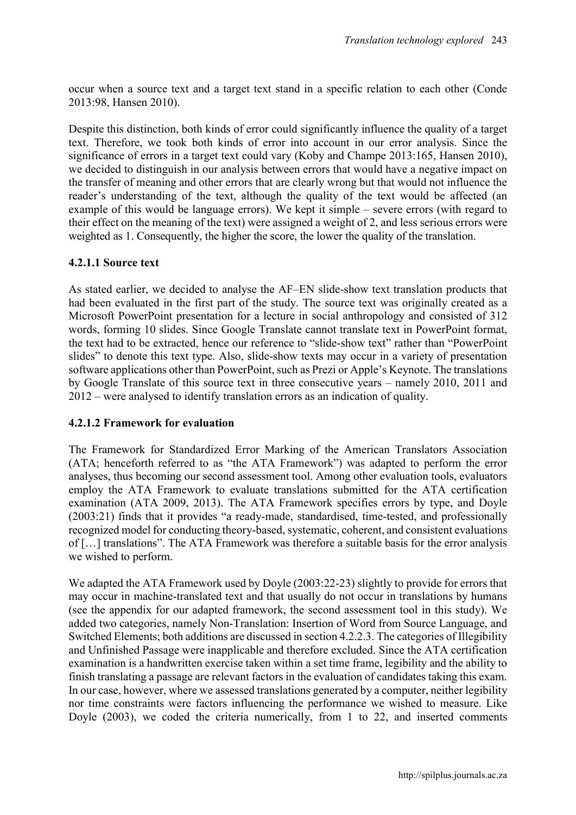occur when a source text and a target text stand in a specific relation to each other (Conde 2013:98, Hansen 2010).

Despite this distinction, both kinds of error could significantly influence the quality of a target text. Therefore, we took both kinds of error into account in our error analysis. Since the significance of errors in a target text could vary (Koby and Champe 2013:165, Hansen 2010), we decided to distinguish in our analysis between errors that would have a negative impact on the transfer of meaning and other errors that are clearly wrong but that would not influence the reader's understanding of the text, although the quality of the text would be affected (an example of this would be language errors). We kept it simple – severe errors (with regard to their effect on the meaning of the text) were assigned a weight of 2, and less serious errors were weighted as 1. Consequently, the higher the score, the lower the quality of the translation.

# 4.2.1.1 Source text

As stated earlier, we decided to analyse the AF–EN slide-show text translation products that had been evaluated in the first part of the study. The source text was originally created as a Microsoft PowerPoint presentation for a lecture in social anthropology and consisted of 312 words, forming 10 slides. Since Google Translate cannot translate text in PowerPoint format, the text had to be extracted, hence our reference to "slide-show text" rather than "PowerPoint slides" to denote this text type. Also, slide-show texts may occur in a variety of presentation software applications other than PowerPoint, such as Prezi or Apple's Keynote. The translations by Google Translate of this source text in three consecutive years – namely 2010, 2011 and 2012 – were analysed to identify translation errors as an indication of quality.

#### 4.2.1.2 Framework for evaluation

The Framework for Standardized Error Marking of the American Translators Association (ATA; henceforth referred to as "the ATA Framework") was adapted to perform the error analyses, thus becoming our second assessment tool. Among other evaluation tools, evaluators employ the ATA Framework to evaluate translations submitted for the ATA certification examination (ATA 2009, 2013). The ATA Framework specifies errors by type, and Doyle (2003:21) finds that it provides "a ready-made, standardised, time-tested, and professionally recognized model for conducting theory-based, systematic, coherent, and consistent evaluations of […] translations". The ATA Framework was therefore a suitable basis for the error analysis we wished to perform.

We adapted the ATA Framework used by Doyle (2003:22-23) slightly to provide for errors that may occur in machine-translated text and that usually do not occur in translations by humans (see the appendix for our adapted framework, the second assessment tool in this study). We added two categories, namely Non-Translation: Insertion of Word from Source Language, and Switched Elements; both additions are discussed in section 4.2.2.3. The categories of Illegibility and Unfinished Passage were inapplicable and therefore excluded. Since the ATA certification examination is a handwritten exercise taken within a set time frame, legibility and the ability to finish translating a passage are relevant factors in the evaluation of candidates taking this exam. In our case, however, where we assessed translations generated by a computer, neither legibility nor time constraints were factors influencing the performance we wished to measure. Like Doyle (2003), we coded the criteria numerically, from 1 to 22, and inserted comments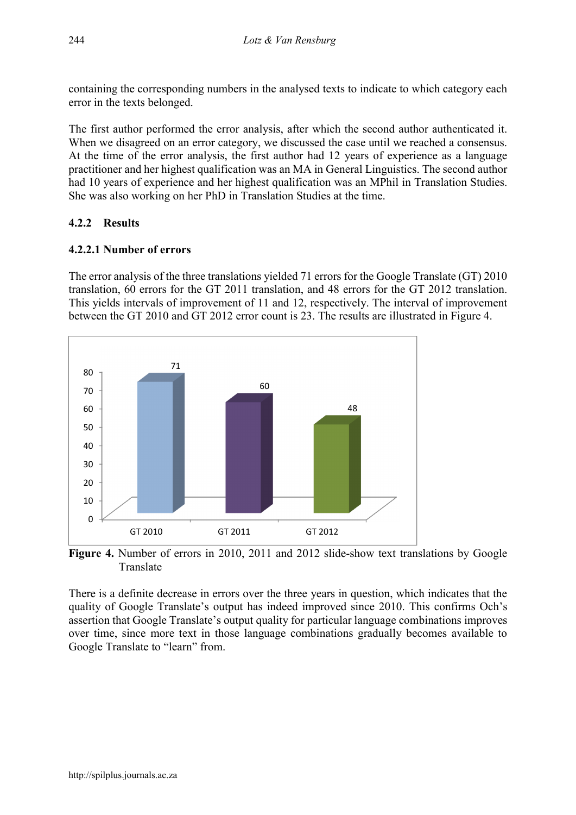containing the corresponding numbers in the analysed texts to indicate to which category each error in the texts belonged.

The first author performed the error analysis, after which the second author authenticated it. When we disagreed on an error category, we discussed the case until we reached a consensus. At the time of the error analysis, the first author had 12 years of experience as a language practitioner and her highest qualification was an MA in General Linguistics. The second author had 10 years of experience and her highest qualification was an MPhil in Translation Studies. She was also working on her PhD in Translation Studies at the time.

# 4.2.2 Results

# 4.2.2.1 Number of errors

The error analysis of the three translations yielded 71 errors for the Google Translate (GT) 2010 translation, 60 errors for the GT 2011 translation, and 48 errors for the GT 2012 translation. This yields intervals of improvement of 11 and 12, respectively. The interval of improvement between the GT 2010 and GT 2012 error count is 23. The results are illustrated in Figure 4.



Figure 4. Number of errors in 2010, 2011 and 2012 slide-show text translations by Google Translate

There is a definite decrease in errors over the three years in question, which indicates that the quality of Google Translate's output has indeed improved since 2010. This confirms Och's assertion that Google Translate's output quality for particular language combinations improves over time, since more text in those language combinations gradually becomes available to Google Translate to "learn" from.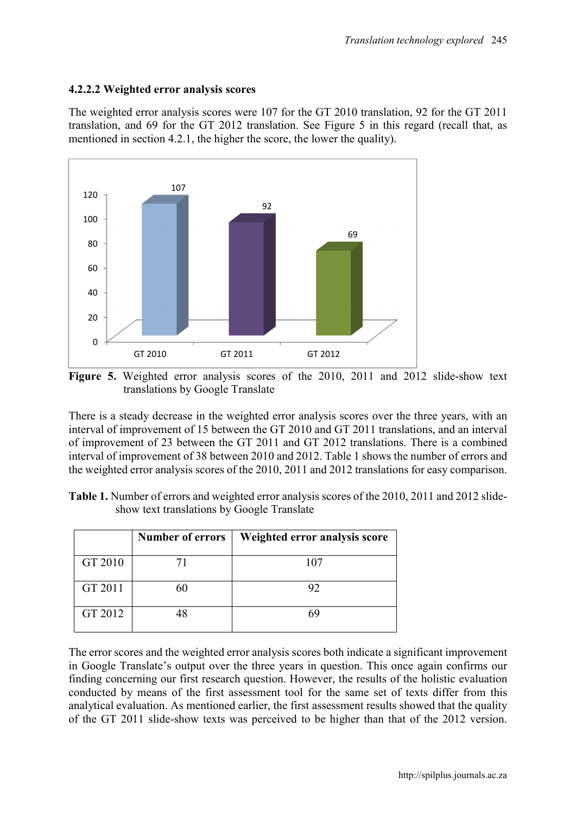#### 4.2.2.2 Weighted error analysis scores

The weighted error analysis scores were 107 for the GT 2010 translation, 92 for the GT 2011 translation, and 69 for the GT 2012 translation. See Figure 5 in this regard (recall that, as mentioned in section 4.2.1, the higher the score, the lower the quality).



Figure 5. Weighted error analysis scores of the 2010, 2011 and 2012 slide-show text translations by Google Translate

There is a steady decrease in the weighted error analysis scores over the three years, with an interval of improvement of 15 between the GT 2010 and GT 2011 translations, and an interval of improvement of 23 between the GT 2011 and GT 2012 translations. There is a combined interval of improvement of 38 between 2010 and 2012. Table 1 shows the number of errors and the weighted error analysis scores of the 2010, 2011 and 2012 translations for easy comparison.

| Table 1. Number of errors and weighted error analysis scores of the 2010, 2011 and 2012 slide- |  |
|------------------------------------------------------------------------------------------------|--|
| show text translations by Google Translate                                                     |  |

|         | <b>Number of errors</b> | Weighted error analysis score |
|---------|-------------------------|-------------------------------|
| GT 2010 |                         | 107                           |
| GT 2011 |                         | 92                            |
| GT 2012 |                         |                               |

The error scores and the weighted error analysis scores both indicate a significant improvement in Google Translate's output over the three years in question. This once again confirms our finding concerning our first research question. However, the results of the holistic evaluation conducted by means of the first assessment tool for the same set of texts differ from this analytical evaluation. As mentioned earlier, the first assessment results showed that the quality of the GT 2011 slide-show texts was perceived to be higher than that of the 2012 version.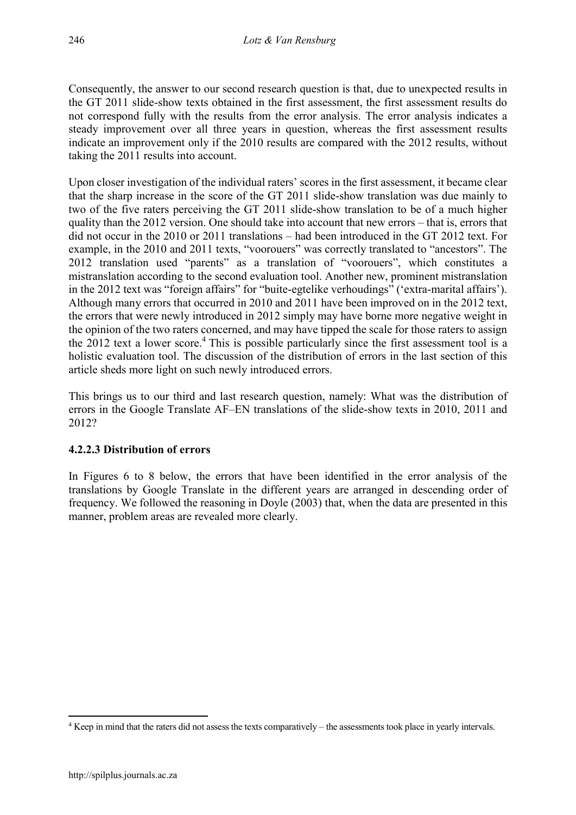Consequently, the answer to our second research question is that, due to unexpected results in the GT 2011 slide-show texts obtained in the first assessment, the first assessment results do not correspond fully with the results from the error analysis. The error analysis indicates a steady improvement over all three years in question, whereas the first assessment results indicate an improvement only if the 2010 results are compared with the 2012 results, without taking the 2011 results into account.

Upon closer investigation of the individual raters' scores in the first assessment, it became clear that the sharp increase in the score of the GT 2011 slide-show translation was due mainly to two of the five raters perceiving the GT 2011 slide-show translation to be of a much higher quality than the 2012 version. One should take into account that new errors – that is, errors that did not occur in the 2010 or 2011 translations – had been introduced in the GT 2012 text. For example, in the 2010 and 2011 texts, "voorouers" was correctly translated to "ancestors". The 2012 translation used "parents" as a translation of "voorouers", which constitutes a mistranslation according to the second evaluation tool. Another new, prominent mistranslation in the 2012 text was "foreign affairs" for "buite-egtelike verhoudings" ('extra-marital affairs'). Although many errors that occurred in 2010 and 2011 have been improved on in the 2012 text, the errors that were newly introduced in 2012 simply may have borne more negative weight in the opinion of the two raters concerned, and may have tipped the scale for those raters to assign the 2012 text a lower score.<sup>4</sup> This is possible particularly since the first assessment tool is a holistic evaluation tool. The discussion of the distribution of errors in the last section of this article sheds more light on such newly introduced errors.

This brings us to our third and last research question, namely: What was the distribution of errors in the Google Translate AF–EN translations of the slide-show texts in 2010, 2011 and 2012?

# 4.2.2.3 Distribution of errors

In Figures 6 to 8 below, the errors that have been identified in the error analysis of the translations by Google Translate in the different years are arranged in descending order of frequency. We followed the reasoning in Doyle (2003) that, when the data are presented in this manner, problem areas are revealed more clearly.

 $\overline{\phantom{a}}$ 

<sup>4</sup> Keep in mind that the raters did not assess the texts comparatively – the assessments took place in yearly intervals.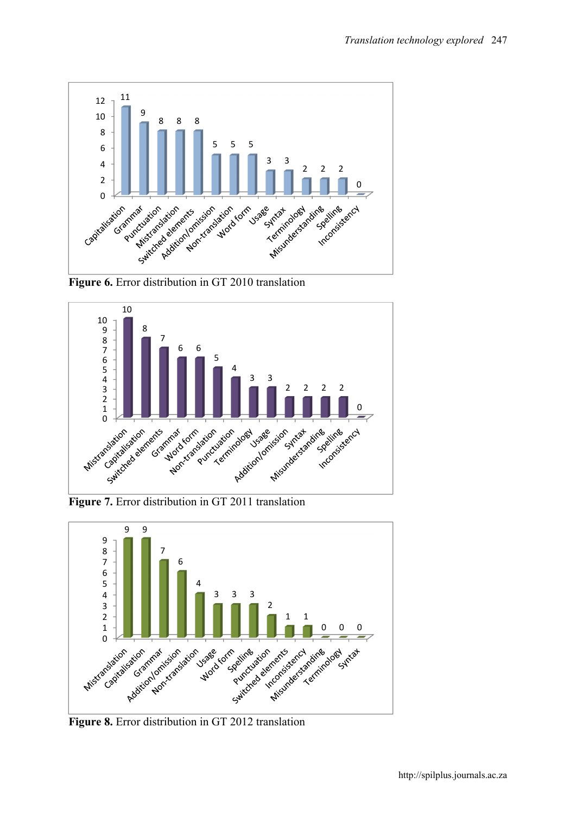

Figure 6. Error distribution in GT 2010 translation



Figure 7. Error distribution in GT 2011 translation



Figure 8. Error distribution in GT 2012 translation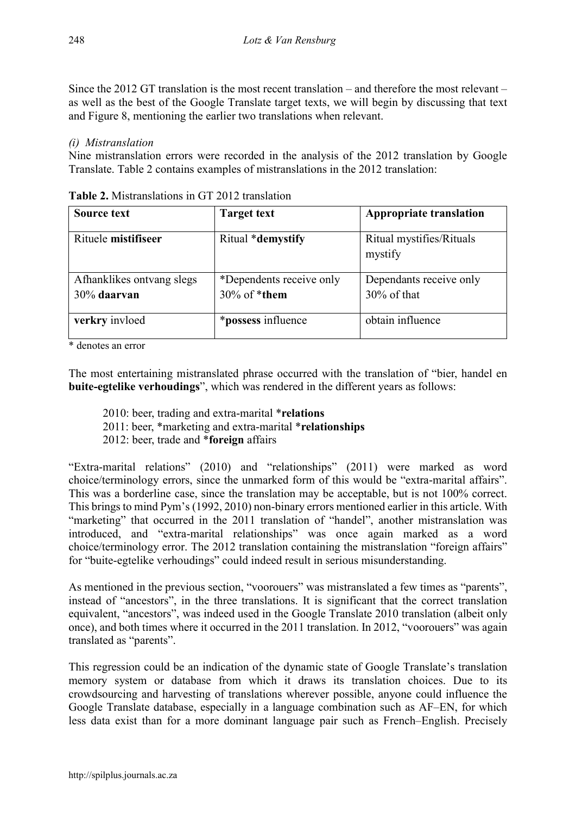Since the 2012 GT translation is the most recent translation – and therefore the most relevant – as well as the best of the Google Translate target texts, we will begin by discussing that text and Figure 8, mentioning the earlier two translations when relevant.

### *(i) Mistranslation*

Nine mistranslation errors were recorded in the analysis of the 2012 translation by Google Translate. Table 2 contains examples of mistranslations in the 2012 translation:

| Source text               | <b>Target text</b>        | <b>Appropriate translation</b>      |
|---------------------------|---------------------------|-------------------------------------|
| Rituele mistifiseer       | Ritual *demystify         | Ritual mystifies/Rituals<br>mystify |
| Afhanklikes ontvang slegs | *Dependents receive only  | Dependants receive only             |
| 30% daarvan               | $30\%$ of *them           | $30\%$ of that                      |
| verkry invloed            | <i>*possess</i> influence | obtain influence                    |

Table 2. Mistranslations in GT 2012 translation

\* denotes an error

The most entertaining mistranslated phrase occurred with the translation of "bier, handel en buite-egtelike verhoudings", which was rendered in the different years as follows:

- 2010: beer, trading and extra-marital \*relations
- 2011: beer, \*marketing and extra-marital \*relationships
- 2012: beer, trade and \*foreign affairs

"Extra-marital relations" (2010) and "relationships" (2011) were marked as word choice/terminology errors, since the unmarked form of this would be "extra-marital affairs". This was a borderline case, since the translation may be acceptable, but is not 100% correct. This brings to mind Pym's (1992, 2010) non-binary errors mentioned earlier in this article. With "marketing" that occurred in the 2011 translation of "handel", another mistranslation was introduced, and "extra-marital relationships" was once again marked as a word choice/terminology error. The 2012 translation containing the mistranslation "foreign affairs" for "buite-egtelike verhoudings" could indeed result in serious misunderstanding.

As mentioned in the previous section, "voorouers" was mistranslated a few times as "parents", instead of "ancestors", in the three translations. It is significant that the correct translation equivalent, "ancestors", was indeed used in the Google Translate 2010 translation (albeit only once), and both times where it occurred in the 2011 translation. In 2012, "voorouers" was again translated as "parents".

This regression could be an indication of the dynamic state of Google Translate's translation memory system or database from which it draws its translation choices. Due to its crowdsourcing and harvesting of translations wherever possible, anyone could influence the Google Translate database, especially in a language combination such as AF–EN, for which less data exist than for a more dominant language pair such as French–English. Precisely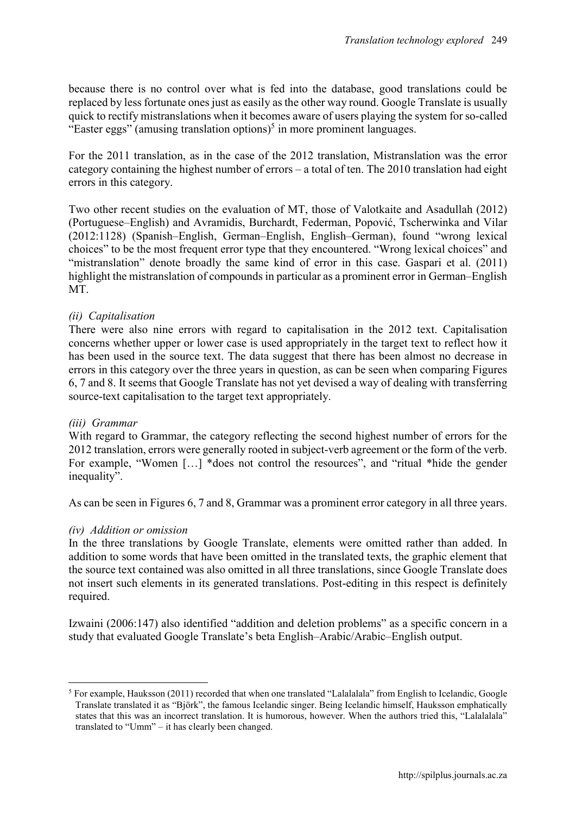because there is no control over what is fed into the database, good translations could be replaced by less fortunate ones just as easily as the other way round. Google Translate is usually quick to rectify mistranslations when it becomes aware of users playing the system for so-called "Easter eggs" (amusing translation options)<sup>5</sup> in more prominent languages.

For the 2011 translation, as in the case of the 2012 translation, Mistranslation was the error category containing the highest number of errors – a total of ten. The 2010 translation had eight errors in this category.

Two other recent studies on the evaluation of MT, those of Valotkaite and Asadullah (2012) (Portuguese–English) and Avramidis, Burchardt, Federman, Popović, Tscherwinka and Vilar (2012:1128) (Spanish–English, German–English, English–German), found "wrong lexical choices" to be the most frequent error type that they encountered. "Wrong lexical choices" and "mistranslation" denote broadly the same kind of error in this case. Gaspari et al. (2011) highlight the mistranslation of compounds in particular as a prominent error in German–English MT.

#### *(ii) Capitalisation*

There were also nine errors with regard to capitalisation in the 2012 text. Capitalisation concerns whether upper or lower case is used appropriately in the target text to reflect how it has been used in the source text. The data suggest that there has been almost no decrease in errors in this category over the three years in question, as can be seen when comparing Figures 6, 7 and 8. It seems that Google Translate has not yet devised a way of dealing with transferring source-text capitalisation to the target text appropriately.

#### *(iii) Grammar*

With regard to Grammar, the category reflecting the second highest number of errors for the 2012 translation, errors were generally rooted in subject-verb agreement or the form of the verb. For example, "Women [...] \*does not control the resources", and "ritual \*hide the gender inequality".

As can be seen in Figures 6, 7 and 8, Grammar was a prominent error category in all three years.

#### *(iv) Addition or omission*

In the three translations by Google Translate, elements were omitted rather than added. In addition to some words that have been omitted in the translated texts, the graphic element that the source text contained was also omitted in all three translations, since Google Translate does not insert such elements in its generated translations. Post-editing in this respect is definitely required.

Izwaini (2006:147) also identified "addition and deletion problems" as a specific concern in a study that evaluated Google Translate's beta English–Arabic/Arabic–English output.

**<sup>.</sup>** <sup>5</sup> For example, Hauksson (2011) recorded that when one translated "Lalalalala" from English to Icelandic, Google Translate translated it as "Björk", the famous Icelandic singer. Being Icelandic himself, Hauksson emphatically states that this was an incorrect translation. It is humorous, however. When the authors tried this, "Lalalalala" translated to "Umm" – it has clearly been changed.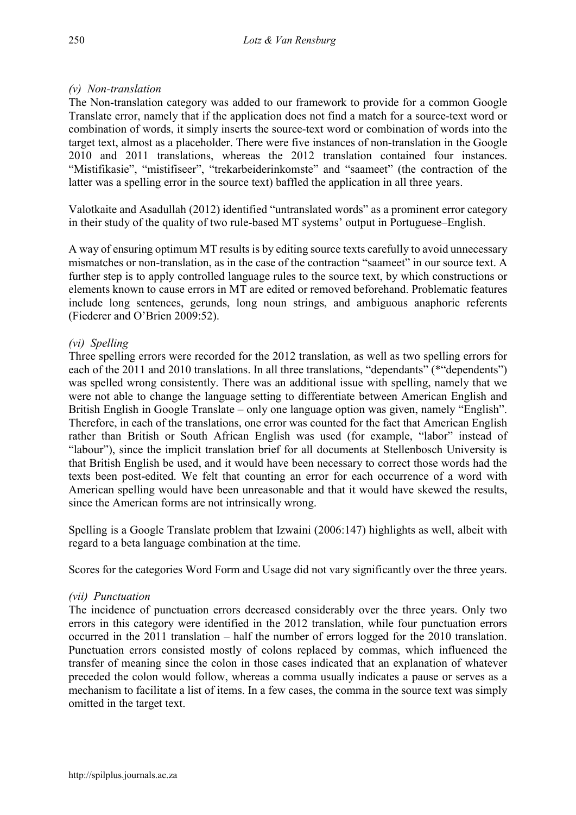### *(v) Non-translation*

The Non-translation category was added to our framework to provide for a common Google Translate error, namely that if the application does not find a match for a source-text word or combination of words, it simply inserts the source-text word or combination of words into the target text, almost as a placeholder. There were five instances of non-translation in the Google 2010 and 2011 translations, whereas the 2012 translation contained four instances. "Mistifikasie", "mistifiseer", "trekarbeiderinkomste" and "saameet" (the contraction of the latter was a spelling error in the source text) baffled the application in all three years.

Valotkaite and Asadullah (2012) identified "untranslated words" as a prominent error category in their study of the quality of two rule-based MT systems' output in Portuguese–English.

A way of ensuring optimum MT results is by editing source texts carefully to avoid unnecessary mismatches or non-translation, as in the case of the contraction "saameet" in our source text. A further step is to apply controlled language rules to the source text, by which constructions or elements known to cause errors in MT are edited or removed beforehand. Problematic features include long sentences, gerunds, long noun strings, and ambiguous anaphoric referents (Fiederer and O'Brien 2009:52).

### *(vi) Spelling*

Three spelling errors were recorded for the 2012 translation, as well as two spelling errors for each of the 2011 and 2010 translations. In all three translations, "dependants" (\*"dependents") was spelled wrong consistently. There was an additional issue with spelling, namely that we were not able to change the language setting to differentiate between American English and British English in Google Translate – only one language option was given, namely "English". Therefore, in each of the translations, one error was counted for the fact that American English rather than British or South African English was used (for example, "labor" instead of "labour"), since the implicit translation brief for all documents at Stellenbosch University is that British English be used, and it would have been necessary to correct those words had the texts been post-edited. We felt that counting an error for each occurrence of a word with American spelling would have been unreasonable and that it would have skewed the results, since the American forms are not intrinsically wrong.

Spelling is a Google Translate problem that Izwaini (2006:147) highlights as well, albeit with regard to a beta language combination at the time.

Scores for the categories Word Form and Usage did not vary significantly over the three years.

#### *(vii) Punctuation*

The incidence of punctuation errors decreased considerably over the three years. Only two errors in this category were identified in the 2012 translation, while four punctuation errors occurred in the 2011 translation – half the number of errors logged for the 2010 translation. Punctuation errors consisted mostly of colons replaced by commas, which influenced the transfer of meaning since the colon in those cases indicated that an explanation of whatever preceded the colon would follow, whereas a comma usually indicates a pause or serves as a mechanism to facilitate a list of items. In a few cases, the comma in the source text was simply omitted in the target text.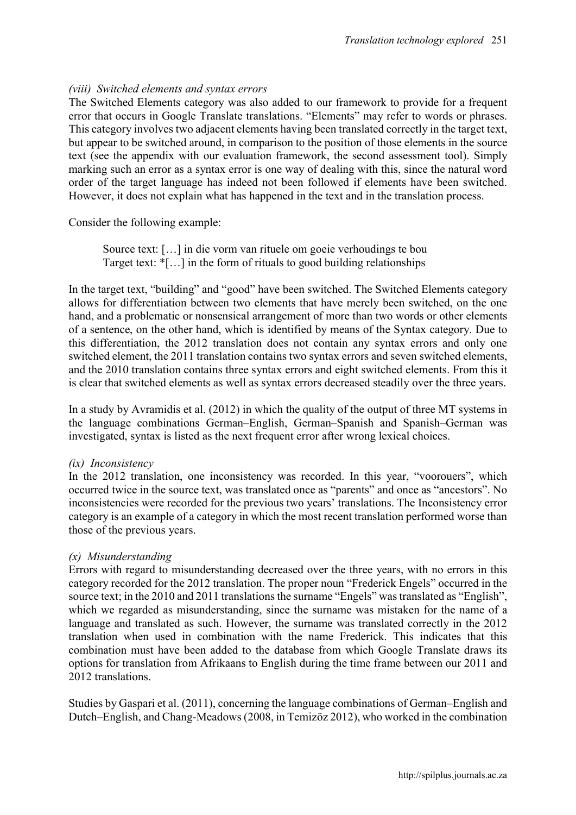#### *(viii) Switched elements and syntax errors*

The Switched Elements category was also added to our framework to provide for a frequent error that occurs in Google Translate translations. "Elements" may refer to words or phrases. This category involves two adjacent elements having been translated correctly in the target text, but appear to be switched around, in comparison to the position of those elements in the source text (see the appendix with our evaluation framework, the second assessment tool). Simply marking such an error as a syntax error is one way of dealing with this, since the natural word order of the target language has indeed not been followed if elements have been switched. However, it does not explain what has happened in the text and in the translation process.

Consider the following example:

Source text: […] in die vorm van rituele om goeie verhoudings te bou Target text: \*[…] in the form of rituals to good building relationships

In the target text, "building" and "good" have been switched. The Switched Elements category allows for differentiation between two elements that have merely been switched, on the one hand, and a problematic or nonsensical arrangement of more than two words or other elements of a sentence, on the other hand, which is identified by means of the Syntax category. Due to this differentiation, the 2012 translation does not contain any syntax errors and only one switched element, the 2011 translation contains two syntax errors and seven switched elements, and the 2010 translation contains three syntax errors and eight switched elements. From this it is clear that switched elements as well as syntax errors decreased steadily over the three years.

In a study by Avramidis et al. (2012) in which the quality of the output of three MT systems in the language combinations German–English, German–Spanish and Spanish–German was investigated, syntax is listed as the next frequent error after wrong lexical choices.

#### *(ix) Inconsistency*

In the 2012 translation, one inconsistency was recorded. In this year, "voorouers", which occurred twice in the source text, was translated once as "parents" and once as "ancestors". No inconsistencies were recorded for the previous two years' translations. The Inconsistency error category is an example of a category in which the most recent translation performed worse than those of the previous years.

#### *(x) Misunderstanding*

Errors with regard to misunderstanding decreased over the three years, with no errors in this category recorded for the 2012 translation. The proper noun "Frederick Engels" occurred in the source text; in the 2010 and 2011 translations the surname "Engels" was translated as "English", which we regarded as misunderstanding, since the surname was mistaken for the name of a language and translated as such. However, the surname was translated correctly in the 2012 translation when used in combination with the name Frederick. This indicates that this combination must have been added to the database from which Google Translate draws its options for translation from Afrikaans to English during the time frame between our 2011 and 2012 translations.

Studies by Gaspari et al. (2011), concerning the language combinations of German–English and Dutch–English, and Chang-Meadows (2008, in Temizöz 2012), who worked in the combination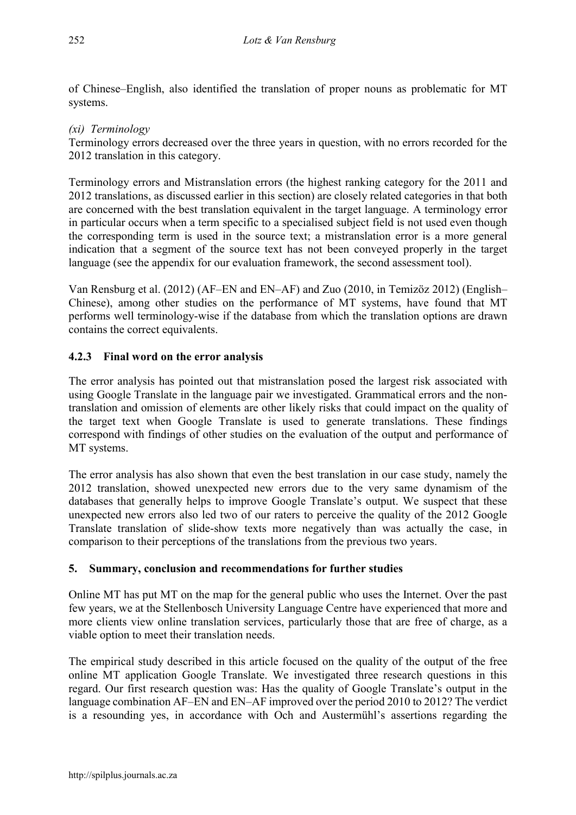of Chinese–English, also identified the translation of proper nouns as problematic for MT systems.

# *(xi) Terminology*

Terminology errors decreased over the three years in question, with no errors recorded for the 2012 translation in this category.

Terminology errors and Mistranslation errors (the highest ranking category for the 2011 and 2012 translations, as discussed earlier in this section) are closely related categories in that both are concerned with the best translation equivalent in the target language. A terminology error in particular occurs when a term specific to a specialised subject field is not used even though the corresponding term is used in the source text; a mistranslation error is a more general indication that a segment of the source text has not been conveyed properly in the target language (see the appendix for our evaluation framework, the second assessment tool).

Van Rensburg et al. (2012) (AF–EN and EN–AF) and Zuo (2010, in Temizöz 2012) (English– Chinese), among other studies on the performance of MT systems, have found that MT performs well terminology-wise if the database from which the translation options are drawn contains the correct equivalents.

# 4.2.3 Final word on the error analysis

The error analysis has pointed out that mistranslation posed the largest risk associated with using Google Translate in the language pair we investigated. Grammatical errors and the nontranslation and omission of elements are other likely risks that could impact on the quality of the target text when Google Translate is used to generate translations. These findings correspond with findings of other studies on the evaluation of the output and performance of MT systems.

The error analysis has also shown that even the best translation in our case study, namely the 2012 translation, showed unexpected new errors due to the very same dynamism of the databases that generally helps to improve Google Translate's output. We suspect that these unexpected new errors also led two of our raters to perceive the quality of the 2012 Google Translate translation of slide-show texts more negatively than was actually the case, in comparison to their perceptions of the translations from the previous two years.

# 5. Summary, conclusion and recommendations for further studies

Online MT has put MT on the map for the general public who uses the Internet. Over the past few years, we at the Stellenbosch University Language Centre have experienced that more and more clients view online translation services, particularly those that are free of charge, as a viable option to meet their translation needs.

The empirical study described in this article focused on the quality of the output of the free online MT application Google Translate. We investigated three research questions in this regard. Our first research question was: Has the quality of Google Translate's output in the language combination AF–EN and EN–AF improved over the period 2010 to 2012? The verdict is a resounding yes, in accordance with Och and Austermühl's assertions regarding the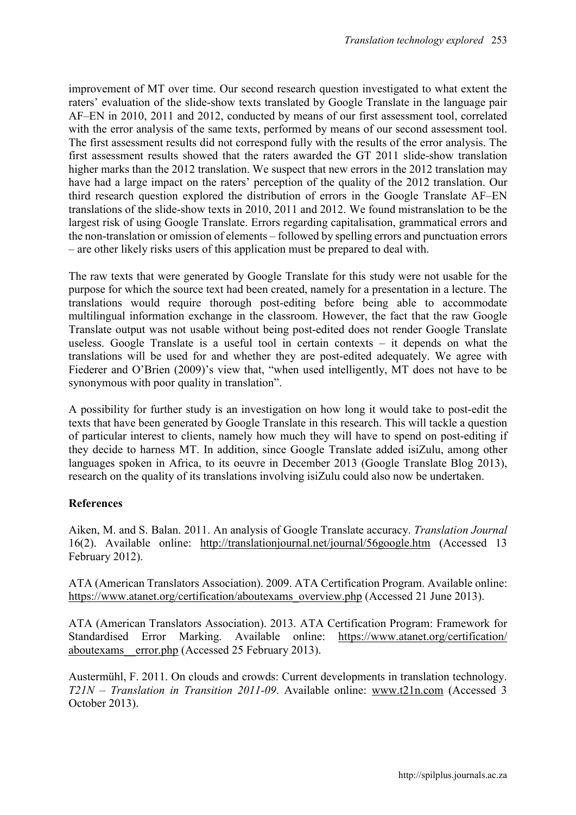improvement of MT over time. Our second research question investigated to what extent the raters' evaluation of the slide-show texts translated by Google Translate in the language pair AF–EN in 2010, 2011 and 2012, conducted by means of our first assessment tool, correlated with the error analysis of the same texts, performed by means of our second assessment tool. The first assessment results did not correspond fully with the results of the error analysis. The first assessment results showed that the raters awarded the GT 2011 slide-show translation higher marks than the 2012 translation. We suspect that new errors in the 2012 translation may have had a large impact on the raters' perception of the quality of the 2012 translation. Our third research question explored the distribution of errors in the Google Translate AF–EN translations of the slide-show texts in 2010, 2011 and 2012. We found mistranslation to be the largest risk of using Google Translate. Errors regarding capitalisation, grammatical errors and the non-translation or omission of elements – followed by spelling errors and punctuation errors – are other likely risks users of this application must be prepared to deal with.

The raw texts that were generated by Google Translate for this study were not usable for the purpose for which the source text had been created, namely for a presentation in a lecture. The translations would require thorough post-editing before being able to accommodate multilingual information exchange in the classroom. However, the fact that the raw Google Translate output was not usable without being post-edited does not render Google Translate useless. Google Translate is a useful tool in certain contexts – it depends on what the translations will be used for and whether they are post-edited adequately. We agree with Fiederer and O'Brien (2009)'s view that, "when used intelligently, MT does not have to be synonymous with poor quality in translation".

A possibility for further study is an investigation on how long it would take to post-edit the texts that have been generated by Google Translate in this research. This will tackle a question of particular interest to clients, namely how much they will have to spend on post-editing if they decide to harness MT. In addition, since Google Translate added isiZulu, among other languages spoken in Africa, to its oeuvre in December 2013 (Google Translate Blog 2013), research on the quality of its translations involving isiZulu could also now be undertaken.

# References

Aiken, M. and S. Balan. 2011. An analysis of Google Translate accuracy. *Translation Journal* 16(2). Available online: <http://translationjournal.net/journal/56google.htm> (Accessed 13 February 2012).

ATA (American Translators Association). 2009. ATA Certification Program. Available online: https://www.atanet.org/certification/aboutexams\_overview.php (Accessed 21 June 2013).

ATA (American Translators Association). 2013. ATA Certification Program: Framework for Standardised Error Marking. Available online: https://www.atanet.org/certification/ aboutexams\_\_error.php (Accessed 25 February 2013).

Austermühl, F. 2011. On clouds and crowds: Current developments in translation technology. *T21N – Translation in Transition 2011-09*. Available online: [www.t21n.com](http://www.t21n.com/) (Accessed 3 October 2013).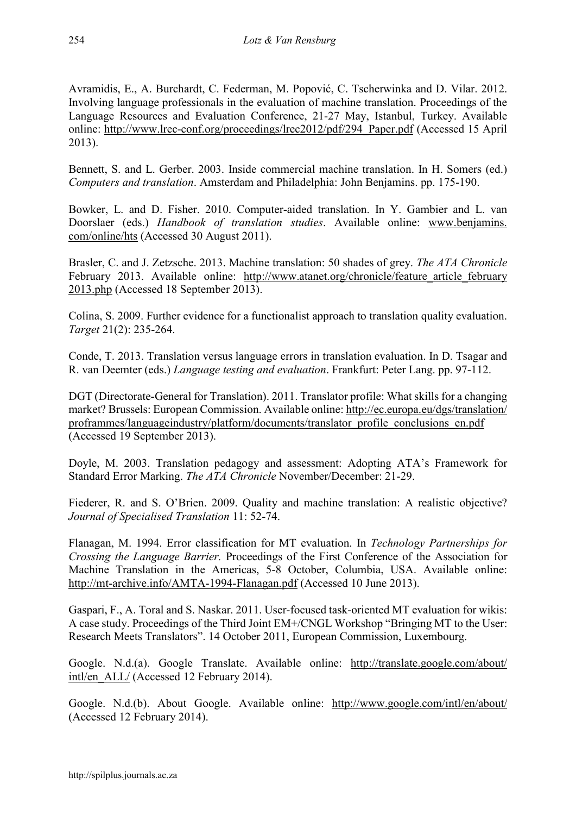Avramidis, E., A. Burchardt, C. Federman, M. Popović, C. Tscherwinka and D. Vilar. 2012. Involving language professionals in the evaluation of machine translation. Proceedings of the Language Resources and Evaluation Conference, 21-27 May, Istanbul, Turkey. Available online: [http://www.lrec-conf.org/proceedings/lrec2012/pdf/294\\_Paper.pdf](http://www.lrec-conf.org/proceedings/lrec2012/pdf/294_Paper.pdf) (Accessed 15 April 2013).

Bennett, S. and L. Gerber. 2003. Inside commercial machine translation. In H. Somers (ed.) *Computers and translation*. Amsterdam and Philadelphia: John Benjamins. pp. 175-190.

Bowker, L. and D. Fisher. 2010. Computer-aided translation. In Y. Gambier and L. van Doorslaer (eds.) *Handbook of translation studies*. Available online: www.benjamins. com/online/hts (Accessed 30 August 2011).

Brasler, C. and J. Zetzsche. 2013. Machine translation: 50 shades of grey. *The ATA Chronicle* February 2013. Available online: http://www.atanet.org/chronicle/feature article february 2013.php (Accessed 18 September 2013).

Colina, S. 2009. Further evidence for a functionalist approach to translation quality evaluation. *Target* 21(2): 235-264.

Conde, T. 2013. Translation versus language errors in translation evaluation. In D. Tsagar and R. van Deemter (eds.) *Language testing and evaluation*. Frankfurt: Peter Lang. pp. 97-112.

DGT (Directorate-General for Translation). 2011. Translator profile: What skills for a changing market? Brussels: European Commission. Available online: http://ec.europa.eu/dgs/translation/ proframmes/languageindustry/platform/documents/translator\_profile\_conclusions\_en.pdf (Accessed 19 September 2013).

Doyle, M. 2003. Translation pedagogy and assessment: Adopting ATA's Framework for Standard Error Marking. *The ATA Chronicle* November/December: 21-29.

Fiederer, R. and S. O'Brien. 2009. Quality and machine translation: A realistic objective? *Journal of Specialised Translation* 11: 52-74.

Flanagan, M. 1994. Error classification for MT evaluation. In *Technology Partnerships for Crossing the Language Barrier.* Proceedings of the First Conference of the Association for Machine Translation in the Americas, 5-8 October, Columbia, USA. Available online: http://mt-archive.info/AMTA-1994-Flanagan.pdf (Accessed 10 June 2013).

Gaspari, F., A. Toral and S. Naskar. 2011. User-focused task-oriented MT evaluation for wikis: A case study. Proceedings of the Third Joint EM+/CNGL Workshop "Bringing MT to the User: Research Meets Translators". 14 October 2011, European Commission, Luxembourg.

Google. N.d.(a). Google Translate. Available online: http://translate.google.com/about/ intl/en\_ALL/ (Accessed 12 February 2014).

Google. N.d.(b). About Google. Available online: http://www.google.com/intl/en/about/ (Accessed 12 February 2014).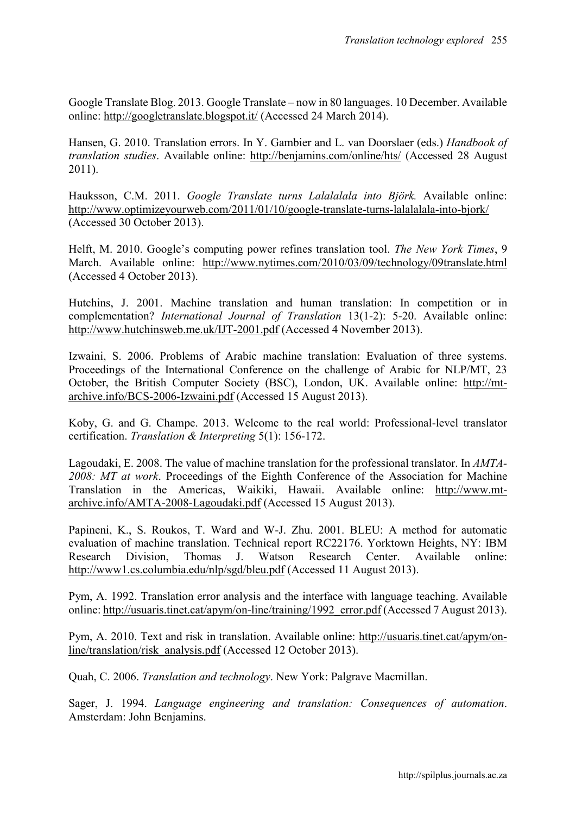Google Translate Blog. 2013. Google Translate – now in 80 languages. 10 December. Available online: http://googletranslate.blogspot.it/ (Accessed 24 March 2014).

Hansen, G. 2010. Translation errors. In Y. Gambier and L. van Doorslaer (eds.) *Handbook of translation studies*. Available online: http://benjamins.com/online/hts/ (Accessed 28 August 2011).

Hauksson, C.M. 2011. *Google Translate turns Lalalalala into Björk.* Available online: http://www.optimizeyourweb.com/2011/01/10/google-translate-turns-lalalalala-into-bjork/ (Accessed 30 October 2013).

Helft, M. 2010. Google's computing power refines translation tool. *The New York Times*, 9 March. Available online: http://www.nytimes.com/2010/03/09/technology/09translate.html (Accessed 4 October 2013).

Hutchins, J. 2001. Machine translation and human translation: In competition or in complementation? *International Journal of Translation* 13(1-2): 5-20. Available online: http://www.hutchinsweb.me.uk/IJT-2001.pdf (Accessed 4 November 2013).

Izwaini, S. 2006. Problems of Arabic machine translation: Evaluation of three systems. Proceedings of the International Conference on the challenge of Arabic for NLP/MT, 23 October, the British Computer Society (BSC), London, UK. Available online: http://mtarchive.info/BCS-2006-Izwaini.pdf (Accessed 15 August 2013).

Koby, G. and G. Champe. 2013. Welcome to the real world: Professional-level translator certification. *Translation & Interpreting* 5(1): 156-172.

Lagoudaki, E. 2008. The value of machine translation for the professional translator. In *AMTA-2008: MT at work*. Proceedings of the Eighth Conference of the Association for Machine Translation in the Americas, Waikiki, Hawaii. Available online: http://www.mtarchive.info/AMTA-2008-Lagoudaki.pdf (Accessed 15 August 2013).

Papineni, K., S. Roukos, T. Ward and W-J. Zhu. 2001. BLEU: A method for automatic evaluation of machine translation. Technical report RC22176. Yorktown Heights, NY: IBM Research Division, Thomas J. Watson Research Center. Available online: http://www1.cs.columbia.edu/nlp/sgd/bleu.pdf (Accessed 11 August 2013).

Pym, A. 1992. Translation error analysis and the interface with language teaching. Available online: http://usuaris.tinet.cat/apym/on-line/training/1992\_error.pdf (Accessed 7 August 2013).

Pym, A. 2010. Text and risk in translation. Available online: http://usuaris.tinet.cat/apym/online/translation/risk\_analysis.pdf (Accessed 12 October 2013).

Quah, C. 2006. *Translation and technology*. New York: Palgrave Macmillan.

Sager, J. 1994. *Language engineering and translation: Consequences of automation*. Amsterdam: John Benjamins.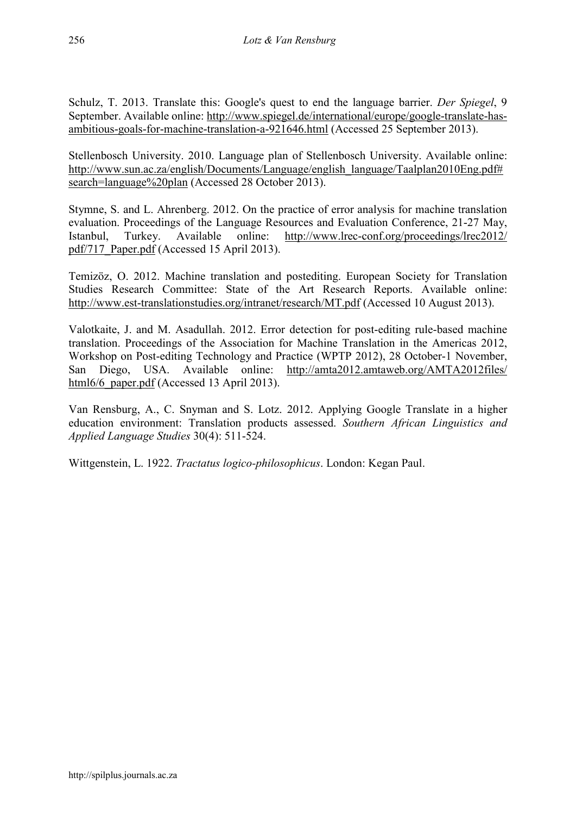Schulz, T. 2013. Translate this: Google's quest to end the language barrier. *Der Spiegel*, 9 September. Available online: http://www.spiegel.de/international/europe/google-translate-hasambitious-goals-for-machine-translation-a-921646.html (Accessed 25 September 2013).

Stellenbosch University. 2010. Language plan of Stellenbosch University. Available online: http://www.sun.ac.za/english/Documents/Language/english\_language/Taalplan2010Eng.pdf# search=language%20plan (Accessed 28 October 2013).

Stymne, S. and L. Ahrenberg. 2012. On the practice of error analysis for machine translation evaluation. Proceedings of the Language Resources and Evaluation Conference, 21-27 May, Istanbul, Turkey. Available online: http://www.lrec-conf.org/proceedings/lrec2012/ pdf/717\_Paper.pdf (Accessed 15 April 2013).

Temizöz, O. 2012. Machine translation and postediting. European Society for Translation Studies Research Committee: State of the Art Research Reports. Available online: http://www.est-translationstudies.org/intranet/research/MT.pdf (Accessed 10 August 2013).

Valotkaite, J. and M. Asadullah. 2012. Error detection for post-editing rule-based machine translation. Proceedings of the Association for Machine Translation in the Americas 2012, Workshop on Post-editing Technology and Practice (WPTP 2012), 28 October-1 November, San Diego, USA. Available online: http://amta2012.amtaweb.org/AMTA2012files/ html6/6 paper.pdf (Accessed 13 April 2013).

Van Rensburg, A., C. Snyman and S. Lotz. 2012. Applying Google Translate in a higher education environment: Translation products assessed. *Southern African Linguistics and Applied Language Studies* 30(4): 511-524.

Wittgenstein, L. 1922. *Tractatus logico-philosophicus*. London: Kegan Paul.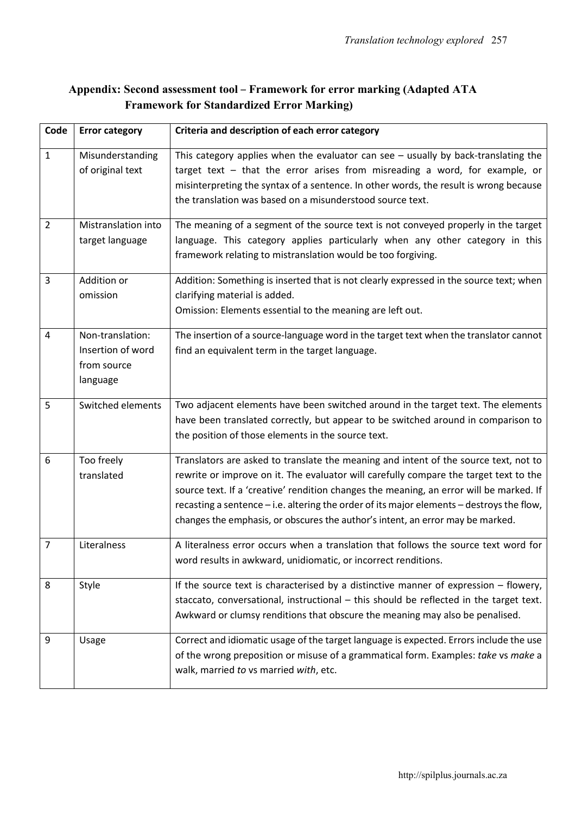# Appendix: Second assessment tool – Framework for error marking (Adapted ATA Framework for Standardized Error Marking)

| Code           | <b>Error category</b>                                            | Criteria and description of each error category                                                                                                                                                                                                                                                                                                                                                                                                         |
|----------------|------------------------------------------------------------------|---------------------------------------------------------------------------------------------------------------------------------------------------------------------------------------------------------------------------------------------------------------------------------------------------------------------------------------------------------------------------------------------------------------------------------------------------------|
| $\mathbf{1}$   | Misunderstanding<br>of original text                             | This category applies when the evaluator can see $-$ usually by back-translating the<br>target text - that the error arises from misreading a word, for example, or<br>misinterpreting the syntax of a sentence. In other words, the result is wrong because<br>the translation was based on a misunderstood source text.                                                                                                                               |
| $\overline{2}$ | Mistranslation into<br>target language                           | The meaning of a segment of the source text is not conveyed properly in the target<br>language. This category applies particularly when any other category in this<br>framework relating to mistranslation would be too forgiving.                                                                                                                                                                                                                      |
| 3              | Addition or<br>omission                                          | Addition: Something is inserted that is not clearly expressed in the source text; when<br>clarifying material is added.<br>Omission: Elements essential to the meaning are left out.                                                                                                                                                                                                                                                                    |
| $\overline{4}$ | Non-translation:<br>Insertion of word<br>from source<br>language | The insertion of a source-language word in the target text when the translator cannot<br>find an equivalent term in the target language.                                                                                                                                                                                                                                                                                                                |
| 5              | Switched elements                                                | Two adjacent elements have been switched around in the target text. The elements<br>have been translated correctly, but appear to be switched around in comparison to<br>the position of those elements in the source text.                                                                                                                                                                                                                             |
| 6              | Too freely<br>translated                                         | Translators are asked to translate the meaning and intent of the source text, not to<br>rewrite or improve on it. The evaluator will carefully compare the target text to the<br>source text. If a 'creative' rendition changes the meaning, an error will be marked. If<br>recasting a sentence - i.e. altering the order of its major elements - destroys the flow,<br>changes the emphasis, or obscures the author's intent, an error may be marked. |
| $\overline{7}$ | Literalness                                                      | A literalness error occurs when a translation that follows the source text word for<br>word results in awkward, unidiomatic, or incorrect renditions.                                                                                                                                                                                                                                                                                                   |
| 8              | Style                                                            | If the source text is characterised by a distinctive manner of expression - flowery,<br>staccato, conversational, instructional - this should be reflected in the target text.<br>Awkward or clumsy renditions that obscure the meaning may also be penalised.                                                                                                                                                                                          |
| 9              | Usage                                                            | Correct and idiomatic usage of the target language is expected. Errors include the use<br>of the wrong preposition or misuse of a grammatical form. Examples: take vs make a<br>walk, married to vs married with, etc.                                                                                                                                                                                                                                  |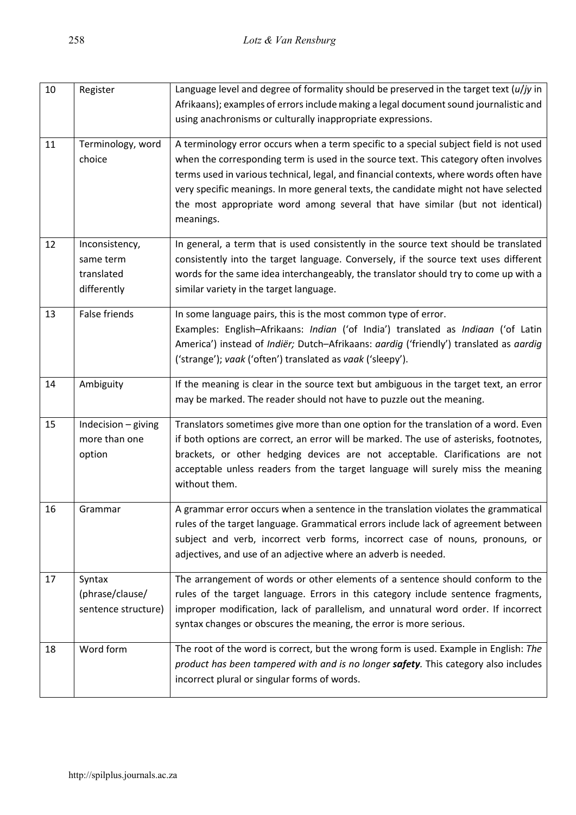| 10 | Register             | Language level and degree of formality should be preserved in the target text $(u/jy)$ in |
|----|----------------------|-------------------------------------------------------------------------------------------|
|    |                      | Afrikaans); examples of errors include making a legal document sound journalistic and     |
|    |                      | using anachronisms or culturally inappropriate expressions.                               |
| 11 | Terminology, word    | A terminology error occurs when a term specific to a special subject field is not used    |
|    | choice               | when the corresponding term is used in the source text. This category often involves      |
|    |                      | terms used in various technical, legal, and financial contexts, where words often have    |
|    |                      | very specific meanings. In more general texts, the candidate might not have selected      |
|    |                      | the most appropriate word among several that have similar (but not identical)             |
|    |                      | meanings.                                                                                 |
| 12 | Inconsistency,       | In general, a term that is used consistently in the source text should be translated      |
|    | same term            | consistently into the target language. Conversely, if the source text uses different      |
|    | translated           | words for the same idea interchangeably, the translator should try to come up with a      |
|    | differently          | similar variety in the target language.                                                   |
| 13 | <b>False friends</b> | In some language pairs, this is the most common type of error.                            |
|    |                      | Examples: English-Afrikaans: Indian ('of India') translated as Indiaan ('of Latin         |
|    |                      | America') instead of Indiër; Dutch-Afrikaans: aardig ('friendly') translated as aardig    |
|    |                      | ('strange'); vaak ('often') translated as vaak ('sleepy').                                |
| 14 | Ambiguity            | If the meaning is clear in the source text but ambiguous in the target text, an error     |
|    |                      | may be marked. The reader should not have to puzzle out the meaning.                      |
| 15 | Indecision - giving  | Translators sometimes give more than one option for the translation of a word. Even       |
|    | more than one        | if both options are correct, an error will be marked. The use of asterisks, footnotes,    |
|    | option               | brackets, or other hedging devices are not acceptable. Clarifications are not             |
|    |                      | acceptable unless readers from the target language will surely miss the meaning           |
|    |                      | without them.                                                                             |
| 16 | Grammar              | A grammar error occurs when a sentence in the translation violates the grammatical        |
|    |                      | rules of the target language. Grammatical errors include lack of agreement between        |
|    |                      | subject and verb, incorrect verb forms, incorrect case of nouns, pronouns, or             |
|    |                      | adjectives, and use of an adjective where an adverb is needed.                            |
| 17 | Syntax               | The arrangement of words or other elements of a sentence should conform to the            |
|    | (phrase/clause/      | rules of the target language. Errors in this category include sentence fragments,         |
|    | sentence structure)  | improper modification, lack of parallelism, and unnatural word order. If incorrect        |
|    |                      | syntax changes or obscures the meaning, the error is more serious.                        |
|    |                      |                                                                                           |
| 18 | Word form            | The root of the word is correct, but the wrong form is used. Example in English: The      |
|    |                      | product has been tampered with and is no longer safety. This category also includes       |
|    |                      | incorrect plural or singular forms of words.                                              |